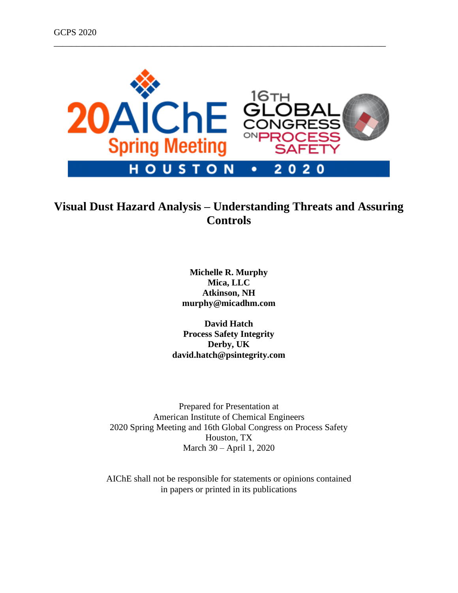

\_\_\_\_\_\_\_\_\_\_\_\_\_\_\_\_\_\_\_\_\_\_\_\_\_\_\_\_\_\_\_\_\_\_\_\_\_\_\_\_\_\_\_\_\_\_\_\_\_\_\_\_\_\_\_\_\_\_\_\_\_\_\_\_\_\_\_\_\_\_\_\_\_\_

# **Visual Dust Hazard Analysis – Understanding Threats and Assuring Controls**

**Michelle R. Murphy Mica, LLC Atkinson, NH murphy@micadhm.com**

**David Hatch Process Safety Integrity Derby, UK david.hatch@psintegrity.com**

Prepared for Presentation at American Institute of Chemical Engineers 2020 Spring Meeting and 16th Global Congress on Process Safety Houston, TX March 30 – April 1, 2020

AIChE shall not be responsible for statements or opinions contained in papers or printed in its publications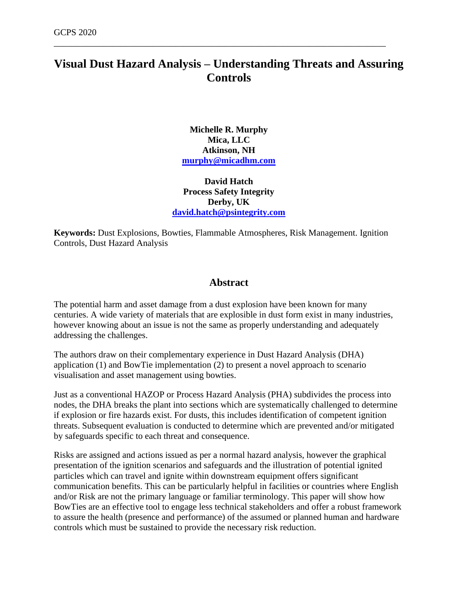# **Visual Dust Hazard Analysis – Understanding Threats and Assuring Controls**

\_\_\_\_\_\_\_\_\_\_\_\_\_\_\_\_\_\_\_\_\_\_\_\_\_\_\_\_\_\_\_\_\_\_\_\_\_\_\_\_\_\_\_\_\_\_\_\_\_\_\_\_\_\_\_\_\_\_\_\_\_\_\_\_\_\_\_\_\_\_\_\_\_\_

**Michelle R. Murphy Mica, LLC Atkinson, NH [murphy@micadhm.com](mailto:murphy@micadhm.com)**

**David Hatch Process Safety Integrity Derby, UK [david.hatch@psintegrity.com](mailto:dhatch@psintegrity.com)**

**Keywords:** Dust Explosions, Bowties, Flammable Atmospheres, Risk Management. Ignition Controls, Dust Hazard Analysis

### **Abstract**

The potential harm and asset damage from a dust explosion have been known for many centuries. A wide variety of materials that are explosible in dust form exist in many industries, however knowing about an issue is not the same as properly understanding and adequately addressing the challenges.

The authors draw on their complementary experience in Dust Hazard Analysis (DHA) application (1) and BowTie implementation (2) to present a novel approach to scenario visualisation and asset management using bowties.

Just as a conventional HAZOP or Process Hazard Analysis (PHA) subdivides the process into nodes, the DHA breaks the plant into sections which are systematically challenged to determine if explosion or fire hazards exist. For dusts, this includes identification of competent ignition threats. Subsequent evaluation is conducted to determine which are prevented and/or mitigated by safeguards specific to each threat and consequence.

Risks are assigned and actions issued as per a normal hazard analysis, however the graphical presentation of the ignition scenarios and safeguards and the illustration of potential ignited particles which can travel and ignite within downstream equipment offers significant communication benefits. This can be particularly helpful in facilities or countries where English and/or Risk are not the primary language or familiar terminology. This paper will show how BowTies are an effective tool to engage less technical stakeholders and offer a robust framework to assure the health (presence and performance) of the assumed or planned human and hardware controls which must be sustained to provide the necessary risk reduction.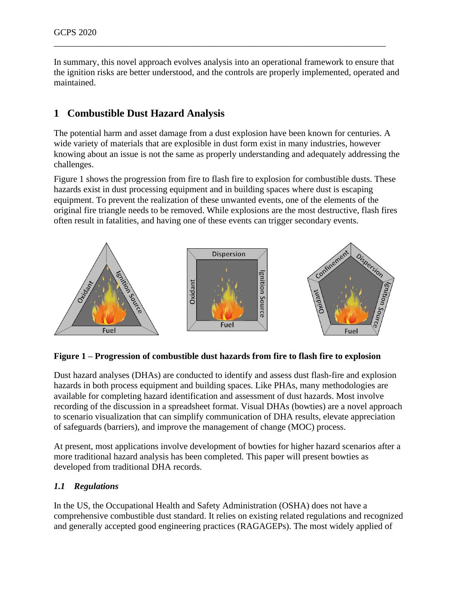In summary, this novel approach evolves analysis into an operational framework to ensure that the ignition risks are better understood, and the controls are properly implemented, operated and maintained.

\_\_\_\_\_\_\_\_\_\_\_\_\_\_\_\_\_\_\_\_\_\_\_\_\_\_\_\_\_\_\_\_\_\_\_\_\_\_\_\_\_\_\_\_\_\_\_\_\_\_\_\_\_\_\_\_\_\_\_\_\_\_\_\_\_\_\_\_\_\_\_\_\_\_

# **1 Combustible Dust Hazard Analysis**

The potential harm and asset damage from a dust explosion have been known for centuries. A wide variety of materials that are explosible in dust form exist in many industries, however knowing about an issue is not the same as properly understanding and adequately addressing the challenges.

[Figure 1](#page-2-0) shows the progression from fire to flash fire to explosion for combustible dusts. These hazards exist in dust processing equipment and in building spaces where dust is escaping equipment. To prevent the realization of these unwanted events, one of the elements of the original fire triangle needs to be removed. While explosions are the most destructive, flash fires often result in fatalities, and having one of these events can trigger secondary events.



#### <span id="page-2-0"></span>**Figure 1 – Progression of combustible dust hazards from fire to flash fire to explosion**

Dust hazard analyses (DHAs) are conducted to identify and assess dust flash-fire and explosion hazards in both process equipment and building spaces. Like PHAs, many methodologies are available for completing hazard identification and assessment of dust hazards. Most involve recording of the discussion in a spreadsheet format. Visual DHAs (bowties) are a novel approach to scenario visualization that can simplify communication of DHA results, elevate appreciation of safeguards (barriers), and improve the management of change (MOC) process.

At present, most applications involve development of bowties for higher hazard scenarios after a more traditional hazard analysis has been completed. This paper will present bowties as developed from traditional DHA records.

#### *1.1 Regulations*

In the US, the Occupational Health and Safety Administration (OSHA) does not have a comprehensive combustible dust standard. It relies on existing related regulations and recognized and generally accepted good engineering practices (RAGAGEPs). The most widely applied of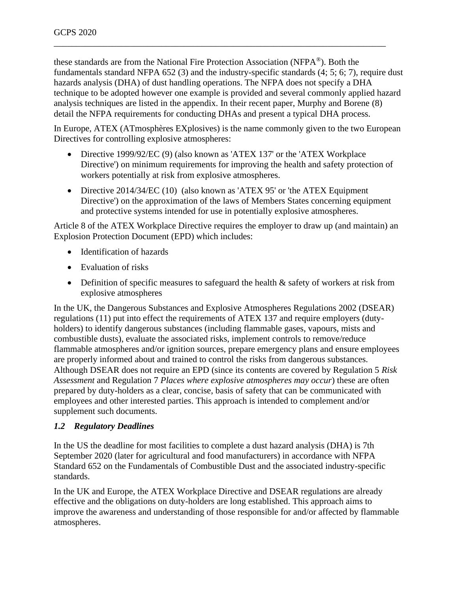these standards are from the National Fire Protection Association (NFPA®). Both the fundamentals standard NFPA 652 (3) and the industry-specific standards (4; 5; 6; 7), require dust hazards analysis (DHA) of dust handling operations. The NFPA does not specify a DHA technique to be adopted however one example is provided and several commonly applied hazard analysis techniques are listed in the appendix. In their recent paper, Murphy and Borene (8) detail the NFPA requirements for conducting DHAs and present a typical DHA process.

\_\_\_\_\_\_\_\_\_\_\_\_\_\_\_\_\_\_\_\_\_\_\_\_\_\_\_\_\_\_\_\_\_\_\_\_\_\_\_\_\_\_\_\_\_\_\_\_\_\_\_\_\_\_\_\_\_\_\_\_\_\_\_\_\_\_\_\_\_\_\_\_\_\_

In Europe, ATEX (ATmosphères EXplosives) is the name commonly given to the two European Directives for controlling explosive atmospheres:

- Directive 1999/92/EC (9) (also known as 'ATEX 137' or the 'ATEX Workplace Directive') on minimum requirements for improving the health and safety protection of workers potentially at risk from explosive atmospheres.
- Directive 2014/34/EC (10) (also known as 'ATEX 95' or 'the ATEX Equipment Directive') on the approximation of the laws of Members States concerning equipment and protective systems intended for use in potentially explosive atmospheres.

Article 8 of the ATEX Workplace Directive requires the employer to draw up (and maintain) an Explosion Protection Document (EPD) which includes:

- Identification of hazards
- Evaluation of risks
- Definition of specific measures to safeguard the health & safety of workers at risk from explosive atmospheres

In the UK, the Dangerous Substances and Explosive Atmospheres Regulations 2002 (DSEAR) regulations (11) put into effect the requirements of ATEX 137 and require employers (dutyholders) to identify dangerous substances (including flammable gases, vapours, mists and combustible dusts), evaluate the associated risks, implement controls to remove/reduce flammable atmospheres and/or ignition sources, prepare emergency plans and ensure employees are properly informed about and trained to control the risks from dangerous substances. Although DSEAR does not require an EPD (since its contents are covered by Regulation 5 *Risk Assessment* and Regulation 7 *Places where explosive atmospheres may occur*) these are often prepared by duty-holders as a clear, concise, basis of safety that can be communicated with employees and other interested parties. This approach is intended to complement and/or supplement such documents.

## *1.2 Regulatory Deadlines*

In the US the deadline for most facilities to complete a dust hazard analysis (DHA) is 7th September 2020 (later for agricultural and food manufacturers) in accordance with NFPA Standard 652 on the Fundamentals of Combustible Dust and the associated industry-specific standards.

In the UK and Europe, the ATEX Workplace Directive and DSEAR regulations are already effective and the obligations on duty-holders are long established. This approach aims to improve the awareness and understanding of those responsible for and/or affected by flammable atmospheres.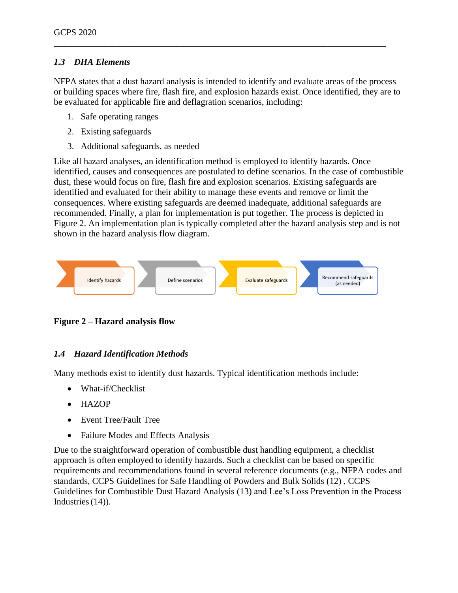## *1.3 DHA Elements*

NFPA states that a dust hazard analysis is intended to identify and evaluate areas of the process or building spaces where fire, flash fire, and explosion hazards exist. Once identified, they are to be evaluated for applicable fire and deflagration scenarios, including:

\_\_\_\_\_\_\_\_\_\_\_\_\_\_\_\_\_\_\_\_\_\_\_\_\_\_\_\_\_\_\_\_\_\_\_\_\_\_\_\_\_\_\_\_\_\_\_\_\_\_\_\_\_\_\_\_\_\_\_\_\_\_\_\_\_\_\_\_\_\_\_\_\_\_

- 1. Safe operating ranges
- 2. Existing safeguards
- 3. Additional safeguards, as needed

Like all hazard analyses, an identification method is employed to identify hazards. Once identified, causes and consequences are postulated to define scenarios. In the case of combustible dust, these would focus on fire, flash fire and explosion scenarios. Existing safeguards are identified and evaluated for their ability to manage these events and remove or limit the consequences. Where existing safeguards are deemed inadequate, additional safeguards are recommended. Finally, a plan for implementation is put together. The process is depicted in [Figure 2.](#page-4-0) An implementation plan is typically completed after the hazard analysis step and is not shown in the hazard analysis flow diagram.



<span id="page-4-0"></span>**Figure 2 – Hazard analysis flow**

## *1.4 Hazard Identification Methods*

Many methods exist to identify dust hazards. Typical identification methods include:

- What-if/Checklist
- HAZOP
- Event Tree/Fault Tree
- Failure Modes and Effects Analysis

Due to the straightforward operation of combustible dust handling equipment, a checklist approach is often employed to identify hazards. Such a checklist can be based on specific requirements and recommendations found in several reference documents (e.g., NFPA codes and standards, CCPS Guidelines for Safe Handling of Powders and Bulk Solids (12) , CCPS Guidelines for Combustible Dust Hazard Analysis (13) and Lee's Loss Prevention in the Process Industries  $(14)$ ).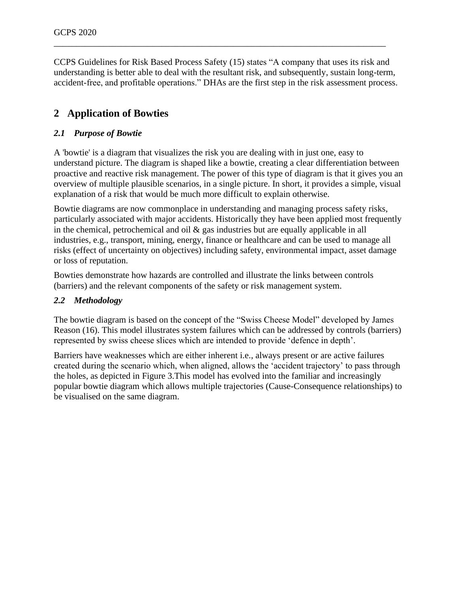CCPS Guidelines for Risk Based Process Safety (15) states "A company that uses its risk and understanding is better able to deal with the resultant risk, and subsequently, sustain long-term, accident-free, and profitable operations." DHAs are the first step in the risk assessment process.

\_\_\_\_\_\_\_\_\_\_\_\_\_\_\_\_\_\_\_\_\_\_\_\_\_\_\_\_\_\_\_\_\_\_\_\_\_\_\_\_\_\_\_\_\_\_\_\_\_\_\_\_\_\_\_\_\_\_\_\_\_\_\_\_\_\_\_\_\_\_\_\_\_\_

# **2 Application of Bowties**

## *2.1 Purpose of Bowtie*

A 'bowtie' is a diagram that visualizes the risk you are dealing with in just one, easy to understand picture. The diagram is shaped like a bowtie, creating a clear differentiation between proactive and reactive risk management. The power of this type of diagram is that it gives you an overview of multiple plausible scenarios, in a single picture. In short, it provides a simple, visual explanation of a risk that would be much more difficult to explain otherwise.

Bowtie diagrams are now commonplace in understanding and managing process safety risks, particularly associated with major accidents. Historically they have been applied most frequently in the chemical, petrochemical and oil  $\&$  gas industries but are equally applicable in all industries, e.g., transport, mining, energy, finance or healthcare and can be used to manage all risks (effect of uncertainty on objectives) including safety, environmental impact, asset damage or loss of reputation.

Bowties demonstrate how hazards are controlled and illustrate the links between controls (barriers) and the relevant components of the safety or risk management system.

#### *2.2 Methodology*

The bowtie diagram is based on the concept of the "Swiss Cheese Model" developed by James Reason (16). This model illustrates system failures which can be addressed by controls (barriers) represented by swiss cheese slices which are intended to provide 'defence in depth'.

Barriers have weaknesses which are either inherent i.e., always present or are active failures created during the scenario which, when aligned, allows the 'accident trajectory' to pass through the holes, as depicted in Figure 3.This model has evolved into the familiar and increasingly popular bowtie diagram which allows multiple trajectories (Cause-Consequence relationships) to be visualised on the same diagram.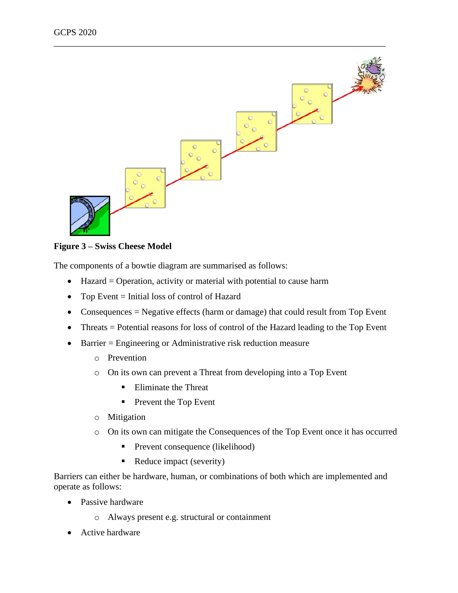

**Figure 3 – Swiss Cheese Model**

The components of a bowtie diagram are summarised as follows:

- Hazard = Operation, activity or material with potential to cause harm
- Top Event = Initial loss of control of Hazard
- Consequences = Negative effects (harm or damage) that could result from Top Event
- Threats = Potential reasons for loss of control of the Hazard leading to the Top Event
- Barrier = Engineering or Administrative risk reduction measure
	- o Prevention
	- o On its own can prevent a Threat from developing into a Top Event
		- Eliminate the Threat
		- Prevent the Top Event
	- o Mitigation
	- o On its own can mitigate the Consequences of the Top Event once it has occurred
		- **•** Prevent consequence (likelihood)
		- Reduce impact (severity)

Barriers can either be hardware, human, or combinations of both which are implemented and operate as follows:

- Passive hardware
	- o Always present e.g. structural or containment
- Active hardware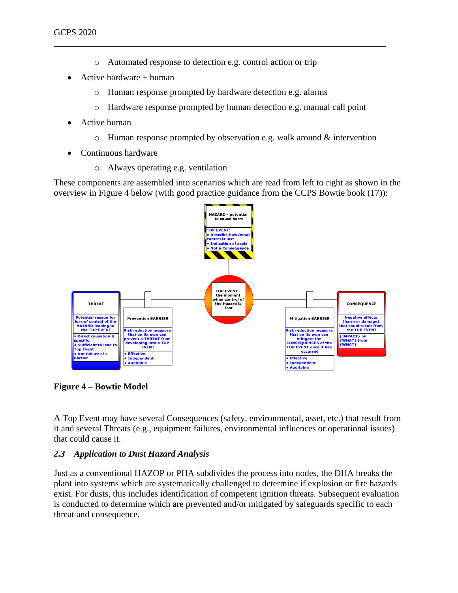o Automated response to detection e.g. control action or trip

\_\_\_\_\_\_\_\_\_\_\_\_\_\_\_\_\_\_\_\_\_\_\_\_\_\_\_\_\_\_\_\_\_\_\_\_\_\_\_\_\_\_\_\_\_\_\_\_\_\_\_\_\_\_\_\_\_\_\_\_\_\_\_\_\_\_\_\_\_\_\_\_\_\_

- Active hardware  $+$  human
	- o Human response prompted by hardware detection e.g. alarms
	- o Hardware response prompted by human detection e.g. manual call point
- Active human
	- o Human response prompted by observation e.g. walk around & intervention
- Continuous hardware
	- o Always operating e.g. ventilation

These components are assembled into scenarios which are read from left to right as shown in the overview in [Figure 4](#page-7-0) below (with good practice guidance from the CCPS Bowtie book (17)):



<span id="page-7-0"></span>**Figure 4 – Bowtie Model**

A Top Event may have several Consequences (safety, environmental, asset, etc.) that result from it and several Threats (e.g., equipment failures, environmental influences or operational issues) that could cause it.

#### *2.3 Application to Dust Hazard Analysis*

Just as a conventional HAZOP or PHA subdivides the process into nodes, the DHA breaks the plant into systems which are systematically challenged to determine if explosion or fire hazards exist. For dusts, this includes identification of competent ignition threats. Subsequent evaluation is conducted to determine which are prevented and/or mitigated by safeguards specific to each threat and consequence.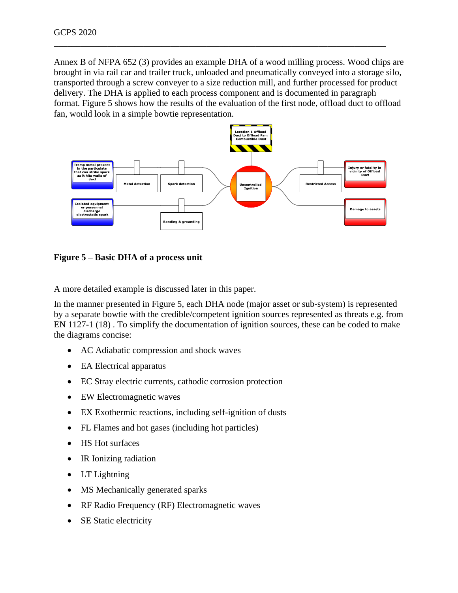Annex B of NFPA 652 (3) provides an example DHA of a wood milling process. Wood chips are brought in via rail car and trailer truck, unloaded and pneumatically conveyed into a storage silo, transported through a screw conveyer to a size reduction mill, and further processed for product delivery. The DHA is applied to each process component and is documented in paragraph format. [Figure 5](#page-8-0) shows how the results of the evaluation of the first node, offload duct to offload fan, would look in a simple bowtie representation.

\_\_\_\_\_\_\_\_\_\_\_\_\_\_\_\_\_\_\_\_\_\_\_\_\_\_\_\_\_\_\_\_\_\_\_\_\_\_\_\_\_\_\_\_\_\_\_\_\_\_\_\_\_\_\_\_\_\_\_\_\_\_\_\_\_\_\_\_\_\_\_\_\_\_



<span id="page-8-0"></span>**Figure 5 – Basic DHA of a process unit**

A more detailed example is discussed later in this paper.

In the manner presented in [Figure 5,](#page-8-0) each DHA node (major asset or sub-system) is represented by a separate bowtie with the credible/competent ignition sources represented as threats e.g. from EN 1127-1 (18) . To simplify the documentation of ignition sources, these can be coded to make the diagrams concise:

- AC Adiabatic compression and shock waves
- EA Electrical apparatus
- EC Stray electric currents, cathodic corrosion protection
- EW Electromagnetic waves
- EX Exothermic reactions, including self-ignition of dusts
- FL Flames and hot gases (including hot particles)
- HS Hot surfaces
- IR Ionizing radiation
- LT Lightning
- MS Mechanically generated sparks
- RF Radio Frequency (RF) Electromagnetic waves
- SE Static electricity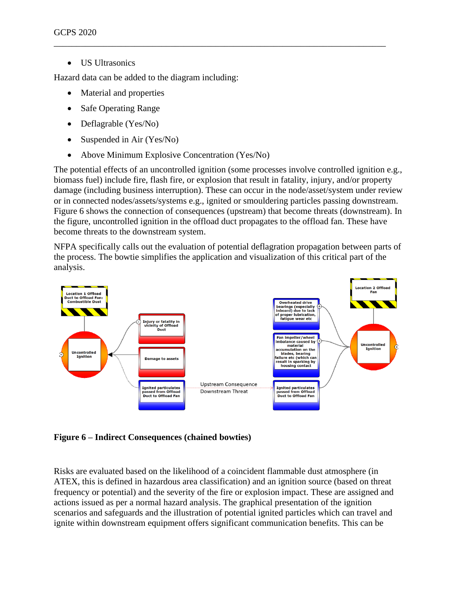US Ultrasonics

Hazard data can be added to the diagram including:

- Material and properties
- Safe Operating Range
- Deflagrable (Yes/No)
- Suspended in Air (Yes/No)
- Above Minimum Explosive Concentration (Yes/No)

The potential effects of an uncontrolled ignition (some processes involve controlled ignition e.g., biomass fuel) include fire, flash fire, or explosion that result in fatality, injury, and/or property damage (including business interruption). These can occur in the node/asset/system under review or in connected nodes/assets/systems e.g., ignited or smouldering particles passing downstream. [Figure 6](#page-9-0) shows the connection of consequences (upstream) that become threats (downstream). In the figure, uncontrolled ignition in the offload duct propagates to the offload fan. These have become threats to the downstream system.

\_\_\_\_\_\_\_\_\_\_\_\_\_\_\_\_\_\_\_\_\_\_\_\_\_\_\_\_\_\_\_\_\_\_\_\_\_\_\_\_\_\_\_\_\_\_\_\_\_\_\_\_\_\_\_\_\_\_\_\_\_\_\_\_\_\_\_\_\_\_\_\_\_\_

NFPA specifically calls out the evaluation of potential deflagration propagation between parts of the process. The bowtie simplifies the application and visualization of this critical part of the analysis.



<span id="page-9-0"></span>**Figure 6 – Indirect Consequences (chained bowties)**

Risks are evaluated based on the likelihood of a coincident flammable dust atmosphere (in ATEX, this is defined in hazardous area classification) and an ignition source (based on threat frequency or potential) and the severity of the fire or explosion impact. These are assigned and actions issued as per a normal hazard analysis. The graphical presentation of the ignition scenarios and safeguards and the illustration of potential ignited particles which can travel and ignite within downstream equipment offers significant communication benefits. This can be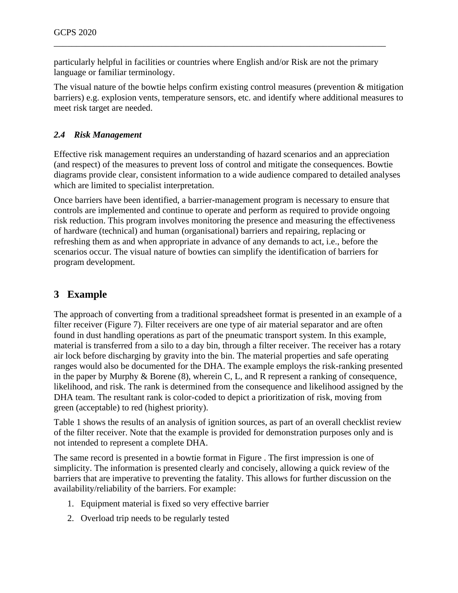particularly helpful in facilities or countries where English and/or Risk are not the primary language or familiar terminology.

\_\_\_\_\_\_\_\_\_\_\_\_\_\_\_\_\_\_\_\_\_\_\_\_\_\_\_\_\_\_\_\_\_\_\_\_\_\_\_\_\_\_\_\_\_\_\_\_\_\_\_\_\_\_\_\_\_\_\_\_\_\_\_\_\_\_\_\_\_\_\_\_\_\_

The visual nature of the bowtie helps confirm existing control measures (prevention & mitigation barriers) e.g. explosion vents, temperature sensors, etc. and identify where additional measures to meet risk target are needed.

#### *2.4 Risk Management*

Effective risk management requires an understanding of hazard scenarios and an appreciation (and respect) of the measures to prevent loss of control and mitigate the consequences. Bowtie diagrams provide clear, consistent information to a wide audience compared to detailed analyses which are limited to specialist interpretation.

Once barriers have been identified, a barrier-management program is necessary to ensure that controls are implemented and continue to operate and perform as required to provide ongoing risk reduction. This program involves monitoring the presence and measuring the effectiveness of hardware (technical) and human (organisational) barriers and repairing, replacing or refreshing them as and when appropriate in advance of any demands to act, i.e., before the scenarios occur. The visual nature of bowties can simplify the identification of barriers for program development.

# **3 Example**

The approach of converting from a traditional spreadsheet format is presented in an example of a filter receiver (Figure 7). Filter receivers are one type of air material separator and are often found in dust handling operations as part of the pneumatic transport system. In this example, material is transferred from a silo to a day bin, through a filter receiver. The receiver has a rotary air lock before discharging by gravity into the bin. The material properties and safe operating ranges would also be documented for the DHA. The example employs the risk-ranking presented in the paper by Murphy & Borene (8), wherein C, L, and R represent a ranking of consequence, likelihood, and risk. The rank is determined from the consequence and likelihood assigned by the DHA team. The resultant rank is color-coded to depict a prioritization of risk, moving from green (acceptable) to red (highest priority).

Table 1 shows the results of an analysis of ignition sources, as part of an overall checklist review of the filter receiver. Note that the example is provided for demonstration purposes only and is not intended to represent a complete DHA.

The same record is presented in a bowtie format in [Figure .](#page-13-0) The first impression is one of simplicity. The information is presented clearly and concisely, allowing a quick review of the barriers that are imperative to preventing the fatality. This allows for further discussion on the availability/reliability of the barriers. For example:

- 1. Equipment material is fixed so very effective barrier
- 2. Overload trip needs to be regularly tested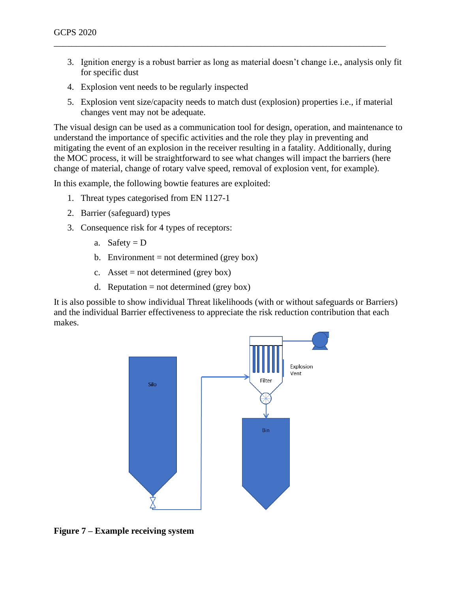3. Ignition energy is a robust barrier as long as material doesn't change i.e., analysis only fit for specific dust

\_\_\_\_\_\_\_\_\_\_\_\_\_\_\_\_\_\_\_\_\_\_\_\_\_\_\_\_\_\_\_\_\_\_\_\_\_\_\_\_\_\_\_\_\_\_\_\_\_\_\_\_\_\_\_\_\_\_\_\_\_\_\_\_\_\_\_\_\_\_\_\_\_\_

- 4. Explosion vent needs to be regularly inspected
- 5. Explosion vent size/capacity needs to match dust (explosion) properties i.e., if material changes vent may not be adequate.

The visual design can be used as a communication tool for design, operation, and maintenance to understand the importance of specific activities and the role they play in preventing and mitigating the event of an explosion in the receiver resulting in a fatality. Additionally, during the MOC process, it will be straightforward to see what changes will impact the barriers (here change of material, change of rotary valve speed, removal of explosion vent, for example).

In this example, the following bowtie features are exploited:

- 1. Threat types categorised from EN 1127-1
- 2. Barrier (safeguard) types
- 3. Consequence risk for 4 types of receptors:
	- a. Safety =  $D$
	- b. Environment = not determined (grey box)
	- c. Asset = not determined (grey box)
	- d. Reputation = not determined (grey box)

It is also possible to show individual Threat likelihoods (with or without safeguards or Barriers) and the individual Barrier effectiveness to appreciate the risk reduction contribution that each makes.



**Figure 7 – Example receiving system**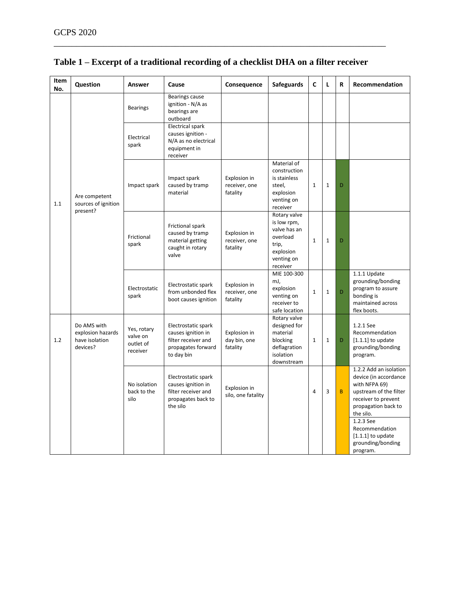| Item<br>No. | Question                                                       | Answer                                           | Cause                                                                                                | Consequence                               | <b>Safeguards</b>                                                                                       | C            | L            | R        | Recommendation                                                                                                                                                                                              |
|-------------|----------------------------------------------------------------|--------------------------------------------------|------------------------------------------------------------------------------------------------------|-------------------------------------------|---------------------------------------------------------------------------------------------------------|--------------|--------------|----------|-------------------------------------------------------------------------------------------------------------------------------------------------------------------------------------------------------------|
| 1.1         | Are competent<br>sources of ignition<br>present?               | <b>Bearings</b>                                  | Bearings cause<br>ignition - N/A as<br>bearings are<br>outboard                                      |                                           |                                                                                                         |              |              |          |                                                                                                                                                                                                             |
|             |                                                                | Electrical<br>spark                              | <b>Electrical spark</b><br>causes ignition -<br>N/A as no electrical<br>equipment in<br>receiver     |                                           |                                                                                                         |              |              |          |                                                                                                                                                                                                             |
|             |                                                                | Impact spark                                     | Impact spark<br>caused by tramp<br>material                                                          | Explosion in<br>receiver, one<br>fatality | Material of<br>construction<br>is stainless<br>steel,<br>explosion<br>venting on<br>receiver            | $\mathbf{1}$ | $\mathbf{1}$ | D        |                                                                                                                                                                                                             |
|             |                                                                | Frictional<br>spark                              | Frictional spark<br>caused by tramp<br>material getting<br>caught in rotary<br>valve                 | Explosion in<br>receiver, one<br>fatality | Rotary valve<br>is low rpm,<br>valve has an<br>overload<br>trip,<br>explosion<br>venting on<br>receiver | $\mathbf{1}$ | $\mathbf{1}$ | D        |                                                                                                                                                                                                             |
|             |                                                                | Electrostatic<br>spark                           | Electrostatic spark<br>from unbonded flex<br>boot causes ignition                                    | Explosion in<br>receiver, one<br>fatality | MIE 100-300<br>mJ,<br>explosion<br>venting on<br>receiver to<br>safe location                           | $\mathbf 1$  | $1\,$        | D        | 1.1.1 Update<br>grounding/bonding<br>program to assure<br>bonding is<br>maintained across<br>flex boots.                                                                                                    |
| 1.2         | Do AMS with<br>explosion hazards<br>have isolation<br>devices? | Yes, rotary<br>valve on<br>outlet of<br>receiver | Electrostatic spark<br>causes ignition in<br>filter receiver and<br>propagates forward<br>to day bin | Explosion in<br>day bin, one<br>fatality  | Rotary valve<br>designed for<br>material<br>blocking<br>deflagration<br>isolation<br>downstream         | $\mathbf{1}$ | $\mathbf{1}$ | D        | 1.2.1 See<br>Recommendation<br>$[1.1.1]$ to update<br>grounding/bonding<br>program.                                                                                                                         |
|             |                                                                | No isolation<br>back to the<br>silo              | Electrostatic spark<br>causes ignition in<br>filter receiver and<br>propagates back to<br>the silo   | Explosion in<br>silo, one fatality        |                                                                                                         | 4            | 3            | $\sf{B}$ | 1.2.2 Add an isolation<br>device (in accordance<br>with NFPA 69)<br>upstream of the filter<br>receiver to prevent<br>propagation back to<br>the silo.<br>1.2.3 See<br>Recommendation<br>$[1.1.1]$ to update |
|             |                                                                |                                                  |                                                                                                      |                                           |                                                                                                         |              |              |          | grounding/bonding<br>program.                                                                                                                                                                               |

# **Table 1 – Excerpt of a traditional recording of a checklist DHA on a filter receiver**

\_\_\_\_\_\_\_\_\_\_\_\_\_\_\_\_\_\_\_\_\_\_\_\_\_\_\_\_\_\_\_\_\_\_\_\_\_\_\_\_\_\_\_\_\_\_\_\_\_\_\_\_\_\_\_\_\_\_\_\_\_\_\_\_\_\_\_\_\_\_\_\_\_\_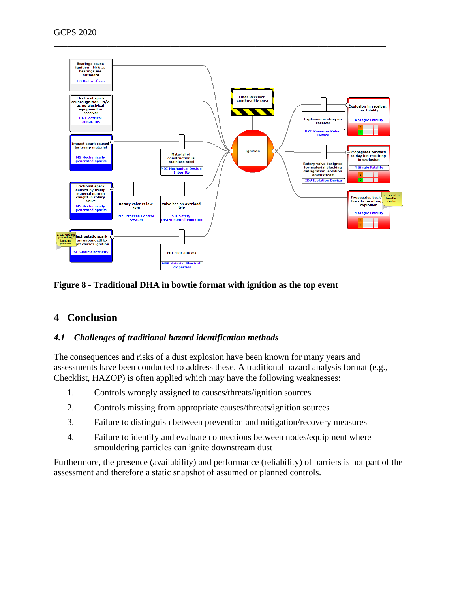

#### <span id="page-13-0"></span>**Figure 8 - Traditional DHA in bowtie format with ignition as the top event**

# **4 Conclusion**

#### *4.1 Challenges of traditional hazard identification methods*

The consequences and risks of a dust explosion have been known for many years and assessments have been conducted to address these. A traditional hazard analysis format (e.g., Checklist, HAZOP) is often applied which may have the following weaknesses:

- 1. Controls wrongly assigned to causes/threats/ignition sources
- 2. Controls missing from appropriate causes/threats/ignition sources
- 3. Failure to distinguish between prevention and mitigation/recovery measures
- 4. Failure to identify and evaluate connections between nodes/equipment where smouldering particles can ignite downstream dust

Furthermore, the presence (availability) and performance (reliability) of barriers is not part of the assessment and therefore a static snapshot of assumed or planned controls.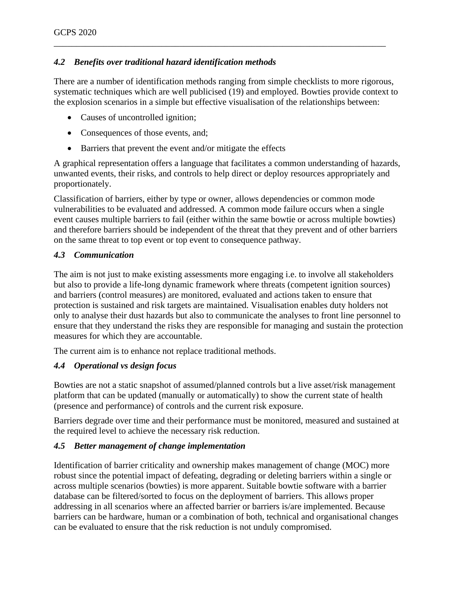## *4.2 Benefits over traditional hazard identification methods*

There are a number of identification methods ranging from simple checklists to more rigorous, systematic techniques which are well publicised (19) and employed. Bowties provide context to the explosion scenarios in a simple but effective visualisation of the relationships between:

\_\_\_\_\_\_\_\_\_\_\_\_\_\_\_\_\_\_\_\_\_\_\_\_\_\_\_\_\_\_\_\_\_\_\_\_\_\_\_\_\_\_\_\_\_\_\_\_\_\_\_\_\_\_\_\_\_\_\_\_\_\_\_\_\_\_\_\_\_\_\_\_\_\_

- Causes of uncontrolled ignition;
- Consequences of those events, and;
- Barriers that prevent the event and/or mitigate the effects

A graphical representation offers a language that facilitates a common understanding of hazards, unwanted events, their risks, and controls to help direct or deploy resources appropriately and proportionately.

Classification of barriers, either by type or owner, allows dependencies or common mode vulnerabilities to be evaluated and addressed. A common mode failure occurs when a single event causes multiple barriers to fail (either within the same bowtie or across multiple bowties) and therefore barriers should be independent of the threat that they prevent and of other barriers on the same threat to top event or top event to consequence pathway.

#### *4.3 Communication*

The aim is not just to make existing assessments more engaging i.e. to involve all stakeholders but also to provide a life-long dynamic framework where threats (competent ignition sources) and barriers (control measures) are monitored, evaluated and actions taken to ensure that protection is sustained and risk targets are maintained. Visualisation enables duty holders not only to analyse their dust hazards but also to communicate the analyses to front line personnel to ensure that they understand the risks they are responsible for managing and sustain the protection measures for which they are accountable.

The current aim is to enhance not replace traditional methods.

#### *4.4 Operational vs design focus*

Bowties are not a static snapshot of assumed/planned controls but a live asset/risk management platform that can be updated (manually or automatically) to show the current state of health (presence and performance) of controls and the current risk exposure.

Barriers degrade over time and their performance must be monitored, measured and sustained at the required level to achieve the necessary risk reduction.

#### *4.5 Better management of change implementation*

Identification of barrier criticality and ownership makes management of change (MOC) more robust since the potential impact of defeating, degrading or deleting barriers within a single or across multiple scenarios (bowties) is more apparent. Suitable bowtie software with a barrier database can be filtered/sorted to focus on the deployment of barriers. This allows proper addressing in all scenarios where an affected barrier or barriers is/are implemented. Because barriers can be hardware, human or a combination of both, technical and organisational changes can be evaluated to ensure that the risk reduction is not unduly compromised.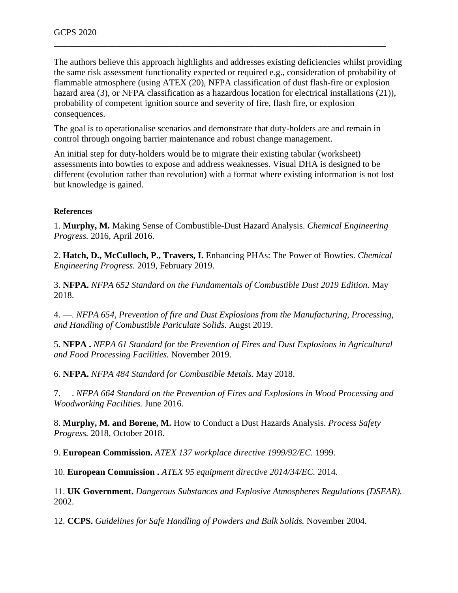The authors believe this approach highlights and addresses existing deficiencies whilst providing the same risk assessment functionality expected or required e.g., consideration of probability of flammable atmosphere (using ATEX (20), NFPA classification of dust flash-fire or explosion hazard area (3), or NFPA classification as a hazardous location for electrical installations (21)), probability of competent ignition source and severity of fire, flash fire, or explosion consequences.

\_\_\_\_\_\_\_\_\_\_\_\_\_\_\_\_\_\_\_\_\_\_\_\_\_\_\_\_\_\_\_\_\_\_\_\_\_\_\_\_\_\_\_\_\_\_\_\_\_\_\_\_\_\_\_\_\_\_\_\_\_\_\_\_\_\_\_\_\_\_\_\_\_\_

The goal is to operationalise scenarios and demonstrate that duty-holders are and remain in control through ongoing barrier maintenance and robust change management.

An initial step for duty-holders would be to migrate their existing tabular (worksheet) assessments into bowties to expose and address weaknesses. Visual DHA is designed to be different (evolution rather than revolution) with a format where existing information is not lost but knowledge is gained.

#### **References**

1. **Murphy, M.** Making Sense of Combustible-Dust Hazard Analysis. *Chemical Engineering Progress.* 2016, April 2016.

2. **Hatch, D., McCulloch, P., Travers, I.** Enhancing PHAs: The Power of Bowties. *Chemical Engineering Progress.* 2019, February 2019.

3. **NFPA.** *NFPA 652 Standard on the Fundamentals of Combustible Dust 2019 Edition.* May 2018.

4. —. *NFPA 654, Prevention of fire and Dust Explosions from the Manufacturing, Processing, and Handling of Combustible Pariculate Solids.* Augst 2019.

5. **NFPA .** *NFPA 61 Standard for the Prevention of Fires and Dust Explosions in Agricultural and Food Processing Facilities.* November 2019.

6. **NFPA.** *NFPA 484 Standard for Combustible Metals.* May 2018.

7. —. *NFPA 664 Standard on the Prevention of Fires and Explosions in Wood Processing and Woodworking Facilities.* June 2016.

8. **Murphy, M. and Borene, M.** How to Conduct a Dust Hazards Analysis. *Process Safety Progress.* 2018, October 2018.

9. **European Commission.** *ATEX 137 workplace directive 1999/92/EC.* 1999.

10. **European Commission .** *ATEX 95 equipment directive 2014/34/EC.* 2014.

11. **UK Government.** *Dangerous Substances and Explosive Atmospheres Regulations (DSEAR).*  2002.

12. **CCPS.** *Guidelines for Safe Handling of Powders and Bulk Solids.* November 2004.